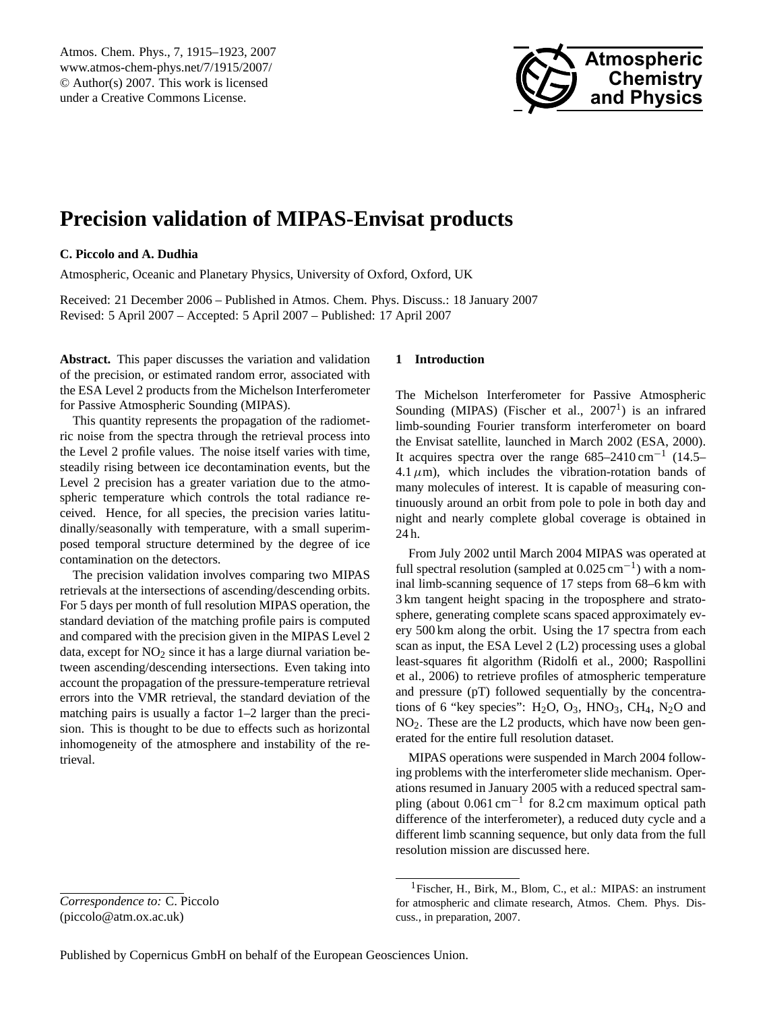<span id="page-0-1"></span>Atmos. Chem. Phys., 7, 1915–1923, 2007 www.atmos-chem-phys.net/7/1915/2007/ © Author(s) 2007. This work is licensed under a Creative Commons License.



# **Precision validation of MIPAS-Envisat products**

## **C. Piccolo and A. Dudhia**

Atmospheric, Oceanic and Planetary Physics, University of Oxford, Oxford, UK

Received: 21 December 2006 – Published in Atmos. Chem. Phys. Discuss.: 18 January 2007 Revised: 5 April 2007 – Accepted: 5 April 2007 – Published: 17 April 2007

**Abstract.** This paper discusses the variation and validation of the precision, or estimated random error, associated with the ESA Level 2 products from the Michelson Interferometer for Passive Atmospheric Sounding (MIPAS).

This quantity represents the propagation of the radiometric noise from the spectra through the retrieval process into the Level 2 profile values. The noise itself varies with time, steadily rising between ice decontamination events, but the Level 2 precision has a greater variation due to the atmospheric temperature which controls the total radiance received. Hence, for all species, the precision varies latitudinally/seasonally with temperature, with a small superimposed temporal structure determined by the degree of ice contamination on the detectors.

The precision validation involves comparing two MIPAS retrievals at the intersections of ascending/descending orbits. For 5 days per month of full resolution MIPAS operation, the standard deviation of the matching profile pairs is computed and compared with the precision given in the MIPAS Level 2 data, except for  $NO<sub>2</sub>$  since it has a large diurnal variation between ascending/descending intersections. Even taking into account the propagation of the pressure-temperature retrieval errors into the VMR retrieval, the standard deviation of the matching pairs is usually a factor 1–2 larger than the precision. This is thought to be due to effects such as horizontal inhomogeneity of the atmosphere and instability of the retrieval.

## *Correspondence to:* C. Piccolo (piccolo@atm.ox.ac.uk)

## **1 Introduction**

The Michelson Interferometer for Passive Atmospheric Sounding (MIPAS) (Fischer et al.,  $2007<sup>1</sup>$  $2007<sup>1</sup>$  $2007<sup>1</sup>$ ) is an infrared limb-sounding Fourier transform interferometer on board the Envisat satellite, launched in March 2002 [\(ESA,](#page-8-0) [2000\)](#page-8-0). It acquires spectra over the range 685–2410 cm−<sup>1</sup> (14.5– 4.1  $\mu$ m), which includes the vibration-rotation bands of many molecules of interest. It is capable of measuring continuously around an orbit from pole to pole in both day and night and nearly complete global coverage is obtained in 24 h.

From July 2002 until March 2004 MIPAS was operated at full spectral resolution (sampled at  $0.025 \text{ cm}^{-1}$ ) with a nominal limb-scanning sequence of 17 steps from 68–6 km with 3 km tangent height spacing in the troposphere and stratosphere, generating complete scans spaced approximately every 500 km along the orbit. Using the 17 spectra from each scan as input, the ESA Level 2 (L2) processing uses a global least-squares fit algorithm [\(Ridolfi et al.,](#page-8-1) [2000;](#page-8-1) [Raspollini](#page-8-2) [et al.,](#page-8-2) [2006\)](#page-8-2) to retrieve profiles of atmospheric temperature and pressure (pT) followed sequentially by the concentrations of 6 "key species":  $H_2O$ ,  $O_3$ ,  $HNO_3$ ,  $CH_4$ ,  $N_2O$  and NO2. These are the L2 products, which have now been generated for the entire full resolution dataset.

MIPAS operations were suspended in March 2004 following problems with the interferometer slide mechanism. Operations resumed in January 2005 with a reduced spectral sampling (about 0.061 cm<sup>-1</sup> for 8.2 cm maximum optical path difference of the interferometer), a reduced duty cycle and a different limb scanning sequence, but only data from the full resolution mission are discussed here.

<span id="page-0-0"></span><sup>1</sup>Fischer, H., Birk, M., Blom, C., et al.: MIPAS: an instrument for atmospheric and climate research, Atmos. Chem. Phys. Discuss., in preparation, 2007.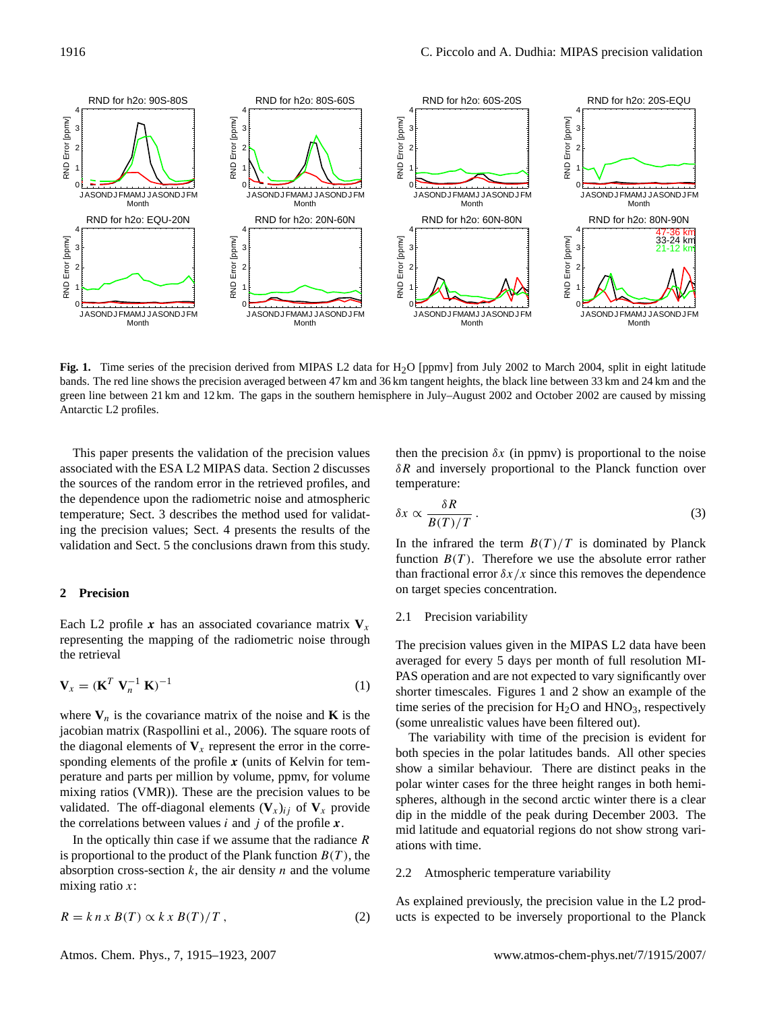

<span id="page-1-1"></span>**Fig. 1.** Time series of the precision derived from MIPAS L2 data for H<sub>2</sub>O [ppmv] from July 2002 to March 2004, split in eight latitude bands. The red line shows the precision averaged between 47 km and 36 km tangent heights, the black line between 33 km and 24 km and the green line between 21 km and 12 km. The gaps in the southern hemisphere in July–August 2002 and October 2002 are caused by missing Antarctic L2 profiles.

This paper presents the validation of the precision values associated with the ESA L2 MIPAS data. Section [2](#page-1-0) discusses the sources of the random error in the retrieved profiles, and the dependence upon the radiometric noise and atmospheric temperature; Sect. [3](#page-2-0) describes the method used for validating the precision values; Sect. [4](#page-5-0) presents the results of the validation and Sect. [5](#page-7-0) the conclusions drawn from this study.

#### <span id="page-1-0"></span>**2 Precision**

Each L2 profile x has an associated covariance matrix  $V_x$ representing the mapping of the radiometric noise through the retrieval

<span id="page-1-2"></span>
$$
\mathbf{V}_x = (\mathbf{K}^T \ \mathbf{V}_n^{-1} \ \mathbf{K})^{-1} \tag{1}
$$

where  $V_n$  is the covariance matrix of the noise and **K** is the jacobian matrix [\(Raspollini et al.,](#page-8-2) [2006\)](#page-8-2). The square roots of the diagonal elements of  $V_x$  represent the error in the corresponding elements of the profile  $x$  (units of Kelvin for temperature and parts per million by volume, ppmv, for volume mixing ratios (VMR)). These are the precision values to be validated. The off-diagonal elements  $(\mathbf{V}_x)_{ij}$  of  $\mathbf{V}_x$  provide the correlations between values  $i$  and  $j$  of the profile  $x$ .

In the optically thin case if we assume that the radiance  $$ is proportional to the product of the Plank function  $B(T)$ , the absorption cross-section  $k$ , the air density  $n$  and the volume mixing ratio  $x$ :

$$
R = k n x B(T) \propto k x B(T) / T , \qquad (2)
$$

Atmos. Chem. Phys., 7, 1915[–1923,](#page-0-1) 2007 www.atmos-chem-phys.net/7/1915/2007/

then the precision  $\delta x$  (in ppmv) is proportional to the noise  $\delta R$  and inversely proportional to the Planck function over temperature:

$$
\delta x \propto \frac{\delta R}{B(T)/T} \,. \tag{3}
$$

In the infrared the term  $B(T)/T$  is dominated by Planck function  $B(T)$ . Therefore we use the absolute error rather than fractional error  $\delta x/x$  since this removes the dependence on target species concentration.

#### 2.1 Precision variability

The precision values given in the MIPAS L2 data have been averaged for every 5 days per month of full resolution MI-PAS operation and are not expected to vary significantly over shorter timescales. Figures [1](#page-1-1) and [2](#page-2-1) show an example of the time series of the precision for  $H_2O$  and  $HNO_3$ , respectively (some unrealistic values have been filtered out).

The variability with time of the precision is evident for both species in the polar latitudes bands. All other species show a similar behaviour. There are distinct peaks in the polar winter cases for the three height ranges in both hemispheres, although in the second arctic winter there is a clear dip in the middle of the peak during December 2003. The mid latitude and equatorial regions do not show strong variations with time.

#### 2.2 Atmospheric temperature variability

As explained previously, the precision value in the L2 products is expected to be inversely proportional to the Planck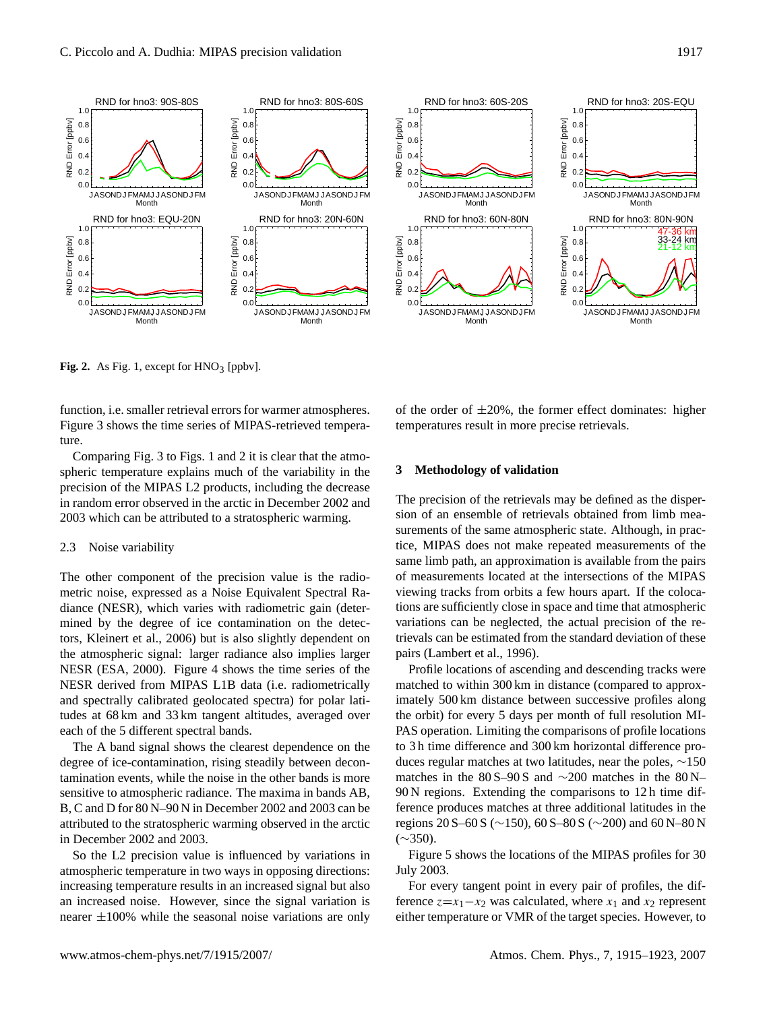



<span id="page-2-1"></span>**Fig. 2.** As Fig. [1,](#page-1-1) except for  $HNO<sub>3</sub>$  [ppbv].

function, i.e. smaller retrieval errors for warmer atmospheres. Figure [3](#page-3-0) shows the time series of MIPAS-retrieved temperature.

Comparing Fig. [3](#page-3-0) to Figs. [1](#page-1-1) and [2](#page-2-1) it is clear that the atmospheric temperature explains much of the variability in the precision of the MIPAS L2 products, including the decrease in random error observed in the arctic in December 2002 and 2003 which can be attributed to a stratospheric warming.

## 2.3 Noise variability

The other component of the precision value is the radiometric noise, expressed as a Noise Equivalent Spectral Radiance (NESR), which varies with radiometric gain (determined by the degree of ice contamination on the detectors, Kleinert et al., 2006) but is also slightly dependent on the atmospheric signal: larger radiance also implies larger NESR [\(ESA,](#page-8-0) [2000\)](#page-8-0). Figure [4](#page-3-1) shows the time series of the NESR derived from MIPAS L1B data (i.e. radiometrically and spectrally calibrated geolocated spectra) for polar latitudes at 68 km and 33 km tangent altitudes, averaged over each of the 5 different spectral bands.

The A band signal shows the clearest dependence on the degree of ice-contamination, rising steadily between decontamination events, while the noise in the other bands is more sensitive to atmospheric radiance. The maxima in bands AB, B, C and D for 80 N–90 N in December 2002 and 2003 can be attributed to the stratospheric warming observed in the arctic in December 2002 and 2003.

So the L2 precision value is influenced by variations in atmospheric temperature in two ways in opposing directions: increasing temperature results in an increased signal but also an increased noise. However, since the signal variation is nearer  $\pm 100\%$  while the seasonal noise variations are only of the order of  $\pm 20\%$ , the former effect dominates: higher temperatures result in more precise retrievals.

#### <span id="page-2-0"></span>**3 Methodology of validation**

The precision of the retrievals may be defined as the dispersion of an ensemble of retrievals obtained from limb measurements of the same atmospheric state. Although, in practice, MIPAS does not make repeated measurements of the same limb path, an approximation is available from the pairs of measurements located at the intersections of the MIPAS viewing tracks from orbits a few hours apart. If the colocations are sufficiently close in space and time that atmospheric variations can be neglected, the actual precision of the retrievals can be estimated from the standard deviation of these pairs [\(Lambert et al.,](#page-8-3) [1996\)](#page-8-3).

Profile locations of ascending and descending tracks were matched to within 300 km in distance (compared to approximately 500 km distance between successive profiles along the orbit) for every 5 days per month of full resolution MI-PAS operation. Limiting the comparisons of profile locations to 3 h time difference and 300 km horizontal difference produces regular matches at two latitudes, near the poles, ∼150 matches in the 80 S–90 S and  $\sim$ 200 matches in the 80 N– 90 N regions. Extending the comparisons to 12 h time difference produces matches at three additional latitudes in the regions 20 S–60 S (∼150), 60 S–80 S (∼200) and 60 N–80 N  $(\sim 350)$ .

Figure [5](#page-4-0) shows the locations of the MIPAS profiles for 30 July 2003.

For every tangent point in every pair of profiles, the difference  $z=x_1-x_2$  was calculated, where  $x_1$  and  $x_2$  represent either temperature or VMR of the target species. However, to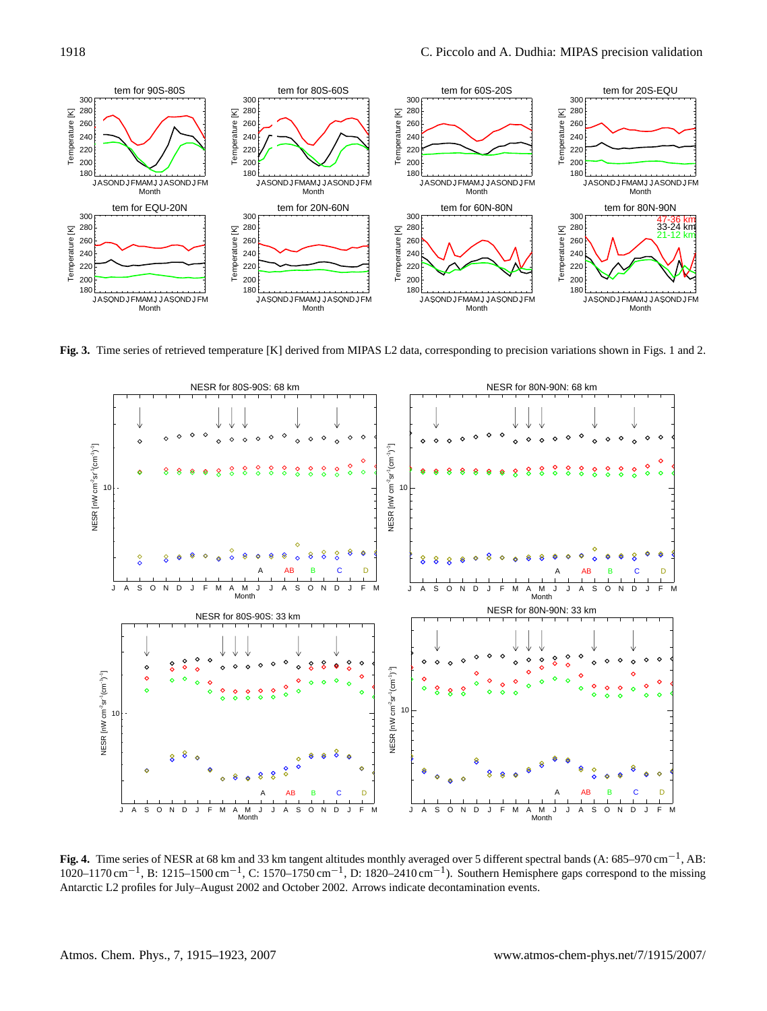

**Fig. 3.** Time series of retrieved temperature [K] derived from MIPAS L2 data, corresponding to precision variations shown in Figs. [1](#page-1-1) and [2.](#page-2-1)

<span id="page-3-0"></span>

<span id="page-3-1"></span>**Fig. 4.** Time series of NESR at 68 km and 33 km tangent altitudes monthly averaged over 5 different spectral bands (A: 685–970 cm−<sup>1</sup> , AB: 1020–1170 cm<sup>-1</sup>, B: 1215–1500 cm<sup>-1</sup>, C: 1570–1750 cm<sup>-1</sup>, D: 1820–2410 cm<sup>-1</sup>). Southern Hemisphere gaps correspond to the missing Antarctic L2 profiles for July–August 2002 and October 2002. Arrows indicate decontamination events.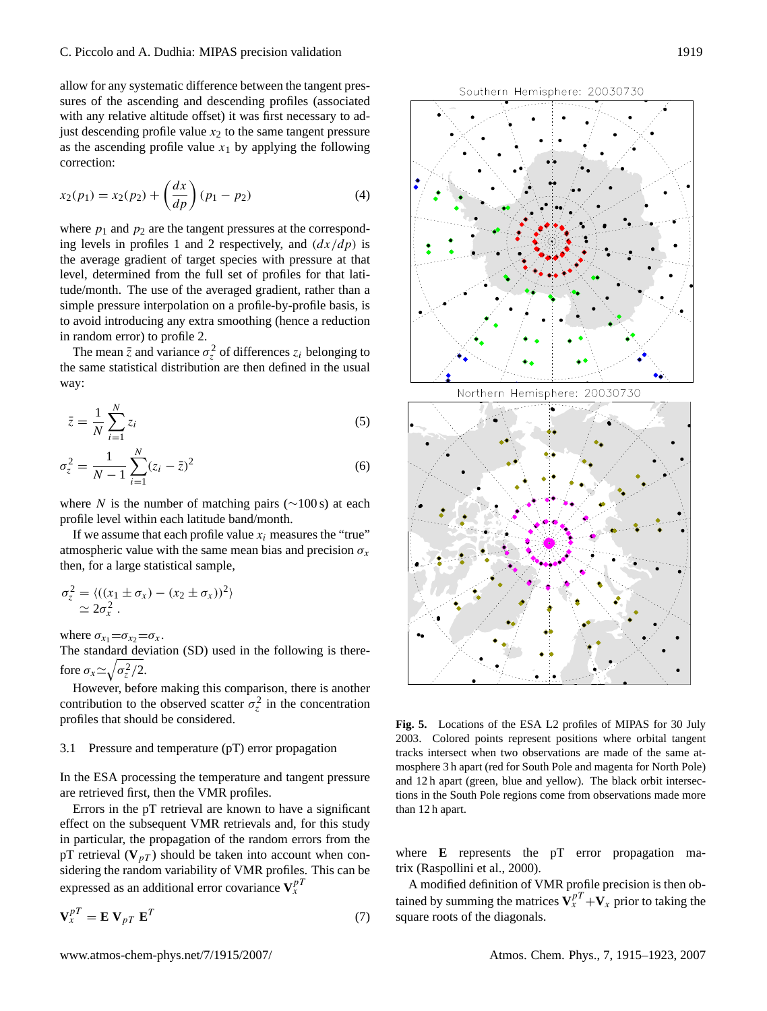allow for any systematic difference between the tangent pressures of the ascending and descending profiles (associated with any relative altitude offset) it was first necessary to adjust descending profile value  $x_2$  to the same tangent pressure as the ascending profile value  $x_1$  by applying the following correction:

$$
x_2(p_1) = x_2(p_2) + \left(\frac{dx}{dp}\right)(p_1 - p_2) \tag{4}
$$

where  $p_1$  and  $p_2$  are the tangent pressures at the corresponding levels in profiles 1 and 2 respectively, and  $\left(\frac{dx}{dp}\right)$  is the average gradient of target species with pressure at that level, determined from the full set of profiles for that latitude/month. The use of the averaged gradient, rather than a simple pressure interpolation on a profile-by-profile basis, is to avoid introducing any extra smoothing (hence a reduction in random error) to profile 2.

The mean  $\bar{z}$  and variance  $\sigma_z^2$  of differences  $z_i$  belonging to the same statistical distribution are then defined in the usual way:

$$
\bar{z} = \frac{1}{N} \sum_{i=1}^{N} z_i
$$
\n<sup>(5)</sup>

$$
\sigma_z^2 = \frac{1}{N-1} \sum_{i=1}^N (z_i - \bar{z})^2
$$
 (6)

where N is the number of matching pairs ( $\sim$ 100 s) at each profile level within each latitude band/month.

If we assume that each profile value  $x_i$  measures the "true" atmospheric value with the same mean bias and precision  $\sigma_{\rm r}$ then, for a large statistical sample,

<span id="page-4-1"></span>
$$
\sigma_z^2 = \langle ((x_1 \pm \sigma_x) - (x_2 \pm \sigma_x))^2 \rangle
$$
  
\n
$$
\simeq 2\sigma_x^2.
$$

where  $\sigma_{x_1} = \sigma_{x_2} = \sigma_x$ .

The standard deviation (SD) used in the following is therefore  $\sigma_x \simeq \sqrt{\sigma_z^2/2}$ .

However, before making this comparison, there is another contribution to the observed scatter  $\sigma_z^2$  in the concentration profiles that should be considered.

#### 3.1 Pressure and temperature (pT) error propagation

In the ESA processing the temperature and tangent pressure are retrieved first, then the VMR profiles.

Errors in the pT retrieval are known to have a significant effect on the subsequent VMR retrievals and, for this study in particular, the propagation of the random errors from the pT retrieval  $(V_{pT})$  should be taken into account when considering the random variability of VMR profiles. This can be expressed as an additional error covariance  $V_x^{pT}$ 

$$
\mathbf{V}_x^{pT} = \mathbf{E} \mathbf{V}_{pT} \mathbf{E}^T
$$
 (7)



<span id="page-4-0"></span>**Fig. 5.** Locations of the ESA L2 profiles of MIPAS for 30 July 2003. Colored points represent positions where orbital tangent tracks intersect when two observations are made of the same atmosphere 3 h apart (red for South Pole and magenta for North Pole) and 12 h apart (green, blue and yellow). The black orbit intersections in the South Pole regions come from observations made more than 12 h apart.

where **E** represents the pT error propagation matrix [\(Raspollini et al.,](#page-8-4) [2000\)](#page-8-4).

A modified definition of VMR profile precision is then obtained by summing the matrices  $V_x^{pT} + V_x$  prior to taking the square roots of the diagonals.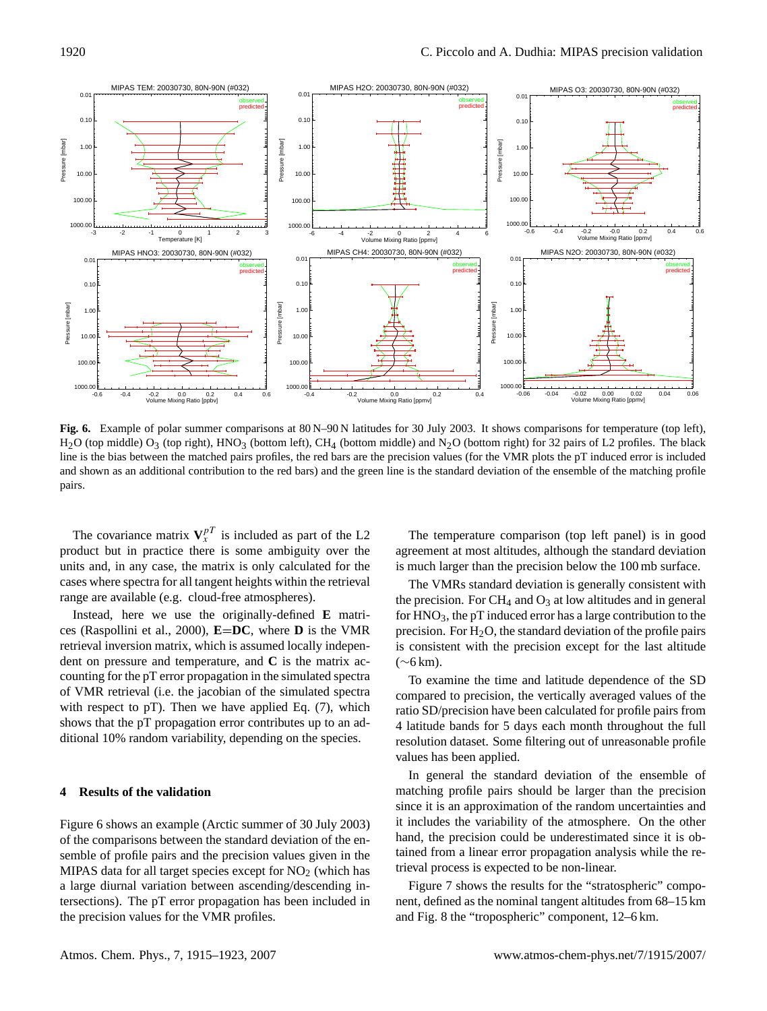

<span id="page-5-1"></span>Fig. 6. Example of polar summer comparisons at 80 N–90 N latitudes for 30 July 2003. It shows comparisons for temperature (top left),  $H_2O$  (top middle)  $O_3$  (top right),  $HNO_3$  (bottom left),  $CH_4$  (bottom middle) and  $N_2O$  (bottom right) for 32 pairs of L2 profiles. The black line is the bias between the matched pairs profiles, the red bars are the precision values (for the VMR plots the pT induced error is included and shown as an additional contribution to the red bars) and the green line is the standard deviation of the ensemble of the matching profile pairs.

The covariance matrix  $V_x^{pT}$  is included as part of the L2 product but in practice there is some ambiguity over the units and, in any case, the matrix is only calculated for the cases where spectra for all tangent heights within the retrieval range are available (e.g. cloud-free atmospheres).

Instead, here we use the originally-defined **E** matrices [\(Raspollini et al.,](#page-8-4) [2000\)](#page-8-4), **E**=**DC**, where **D** is the VMR retrieval inversion matrix, which is assumed locally independent on pressure and temperature, and **C** is the matrix accounting for the pT error propagation in the simulated spectra of VMR retrieval (i.e. the jacobian of the simulated spectra with respect to pT). Then we have applied Eq. [\(7\)](#page-4-1), which shows that the pT propagation error contributes up to an additional 10% random variability, depending on the species.

## <span id="page-5-0"></span>**4 Results of the validation**

Figure [6](#page-5-1) shows an example (Arctic summer of 30 July 2003) of the comparisons between the standard deviation of the ensemble of profile pairs and the precision values given in the MIPAS data for all target species except for  $NO<sub>2</sub>$  (which has a large diurnal variation between ascending/descending intersections). The pT error propagation has been included in the precision values for the VMR profiles.

The temperature comparison (top left panel) is in good agreement at most altitudes, although the standard deviation is much larger than the precision below the 100 mb surface.

The VMRs standard deviation is generally consistent with the precision. For  $CH_4$  and  $O_3$  at low altitudes and in general for  $HNO<sub>3</sub>$ , the pT induced error has a large contribution to the precision. For  $H_2O$ , the standard deviation of the profile pairs is consistent with the precision except for the last altitude (∼6 km).

To examine the time and latitude dependence of the SD compared to precision, the vertically averaged values of the ratio SD/precision have been calculated for profile pairs from 4 latitude bands for 5 days each month throughout the full resolution dataset. Some filtering out of unreasonable profile values has been applied.

In general the standard deviation of the ensemble of matching profile pairs should be larger than the precision since it is an approximation of the random uncertainties and it includes the variability of the atmosphere. On the other hand, the precision could be underestimated since it is obtained from a linear error propagation analysis while the retrieval process is expected to be non-linear.

Figure [7](#page-6-0) shows the results for the "stratospheric" component, defined as the nominal tangent altitudes from 68–15 km and Fig. [8](#page-7-1) the "tropospheric" component, 12–6 km.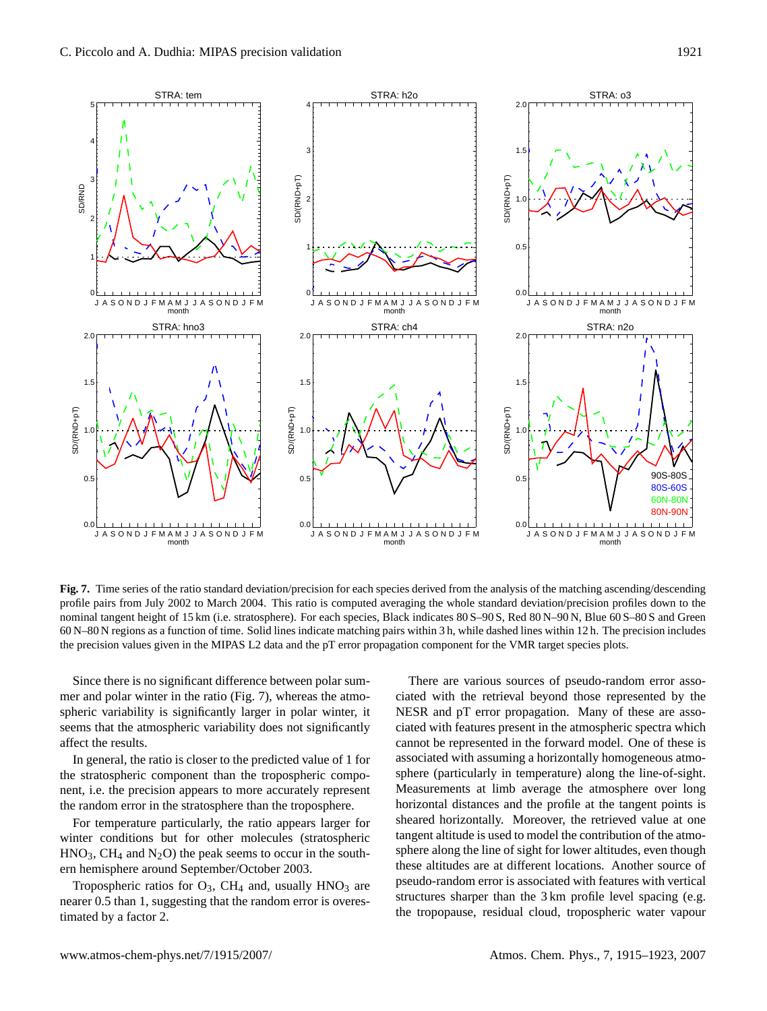

<span id="page-6-0"></span>**Fig. 7.** Time series of the ratio standard deviation/precision for each species derived from the analysis of the matching ascending/descending profile pairs from July 2002 to March 2004. This ratio is computed averaging the whole standard deviation/precision profiles down to the nominal tangent height of 15 km (i.e. stratosphere). For each species, Black indicates 80 S–90 S, Red 80 N–90 N, Blue 60 S–80 S and Green 60 N–80 N regions as a function of time. Solid lines indicate matching pairs within 3 h, while dashed lines within 12 h. The precision includes the precision values given in the MIPAS L2 data and the pT error propagation component for the VMR target species plots.

Since there is no significant difference between polar summer and polar winter in the ratio (Fig. [7\)](#page-6-0), whereas the atmospheric variability is significantly larger in polar winter, it seems that the atmospheric variability does not significantly affect the results.

In general, the ratio is closer to the predicted value of 1 for the stratospheric component than the tropospheric component, i.e. the precision appears to more accurately represent the random error in the stratosphere than the troposphere.

For temperature particularly, the ratio appears larger for winter conditions but for other molecules (stratospheric  $HNO<sub>3</sub>$ , CH<sub>4</sub> and N<sub>2</sub>O) the peak seems to occur in the southern hemisphere around September/October 2003.

Tropospheric ratios for  $O_3$ , CH<sub>4</sub> and, usually HNO<sub>3</sub> are nearer 0.5 than 1, suggesting that the random error is overestimated by a factor 2.

There are various sources of pseudo-random error associated with the retrieval beyond those represented by the NESR and pT error propagation. Many of these are associated with features present in the atmospheric spectra which cannot be represented in the forward model. One of these is associated with assuming a horizontally homogeneous atmosphere (particularly in temperature) along the line-of-sight. Measurements at limb average the atmosphere over long horizontal distances and the profile at the tangent points is sheared horizontally. Moreover, the retrieved value at one tangent altitude is used to model the contribution of the atmosphere along the line of sight for lower altitudes, even though these altitudes are at different locations. Another source of pseudo-random error is associated with features with vertical structures sharper than the 3 km profile level spacing (e.g. the tropopause, residual cloud, tropospheric water vapour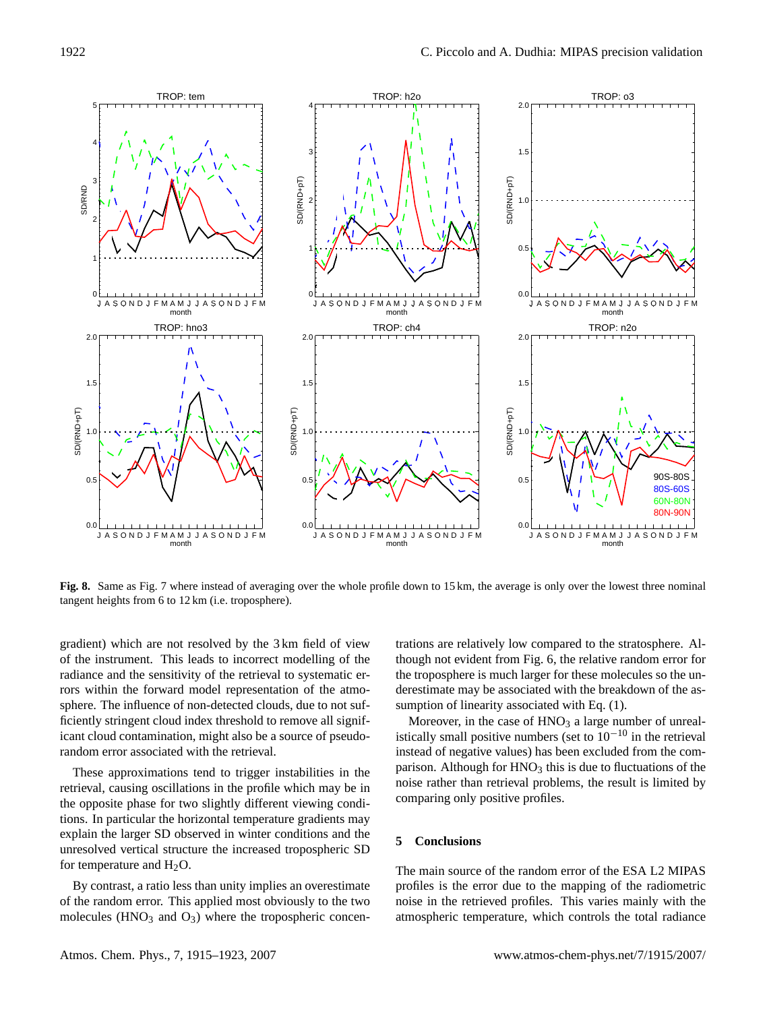

<span id="page-7-1"></span>**Fig. 8.** Same as Fig. [7](#page-6-0) where instead of averaging over the whole profile down to 15 km, the average is only over the lowest three nominal tangent heights from 6 to 12 km (i.e. troposphere).

gradient) which are not resolved by the 3 km field of view of the instrument. This leads to incorrect modelling of the radiance and the sensitivity of the retrieval to systematic errors within the forward model representation of the atmosphere. The influence of non-detected clouds, due to not sufficiently stringent cloud index threshold to remove all significant cloud contamination, might also be a source of pseudorandom error associated with the retrieval.

These approximations tend to trigger instabilities in the retrieval, causing oscillations in the profile which may be in the opposite phase for two slightly different viewing conditions. In particular the horizontal temperature gradients may explain the larger SD observed in winter conditions and the unresolved vertical structure the increased tropospheric SD for temperature and  $H_2O$ .

By contrast, a ratio less than unity implies an overestimate of the random error. This applied most obviously to the two molecules ( $HNO<sub>3</sub>$  and  $O<sub>3</sub>$ ) where the tropospheric concentrations are relatively low compared to the stratosphere. Although not evident from Fig. [6,](#page-5-1) the relative random error for the troposphere is much larger for these molecules so the underestimate may be associated with the breakdown of the assumption of linearity associated with Eq.  $(1)$ .

Moreover, in the case of  $HNO<sub>3</sub>$  a large number of unrealistically small positive numbers (set to  $10^{-10}$  in the retrieval instead of negative values) has been excluded from the comparison. Although for  $HNO<sub>3</sub>$  this is due to fluctuations of the noise rather than retrieval problems, the result is limited by comparing only positive profiles.

#### <span id="page-7-0"></span>**5 Conclusions**

The main source of the random error of the ESA L2 MIPAS profiles is the error due to the mapping of the radiometric noise in the retrieved profiles. This varies mainly with the atmospheric temperature, which controls the total radiance